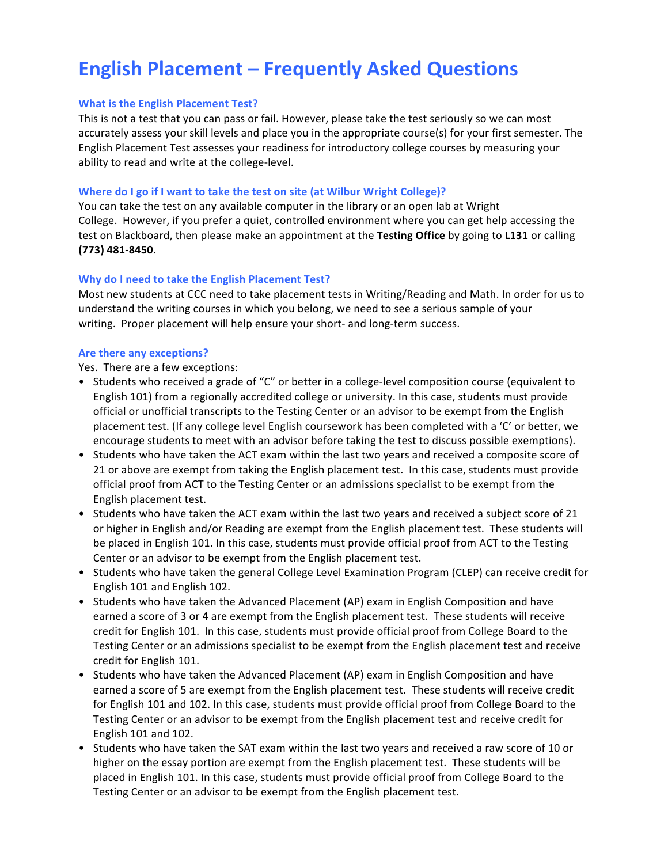# **English Placement – Frequently Asked Questions**

# **What is the English Placement Test?**

This is not a test that you can pass or fail. However, please take the test seriously so we can most accurately assess your skill levels and place you in the appropriate course(s) for your first semester. The English Placement Test assesses your readiness for introductory college courses by measuring your ability to read and write at the college-level.

# **Where do I go if I want to take the test on site (at Wilbur Wright College)?**

You can take the test on any available computer in the library or an open lab at Wright College. However, if you prefer a quiet, controlled environment where you can get help accessing the test on Blackboard, then please make an appointment at the Testing Office by going to L131 or calling **(773) 481-8450**.

# **Why do I need to take the English Placement Test?**

Most new students at CCC need to take placement tests in Writing/Reading and Math. In order for us to understand the writing courses in which you belong, we need to see a serious sample of your writing. Proper placement will help ensure your short- and long-term success.

#### **Are there any exceptions?**

Yes. There are a few exceptions:

- Students who received a grade of "C" or better in a college-level composition course (equivalent to English 101) from a regionally accredited college or university. In this case, students must provide official or unofficial transcripts to the Testing Center or an advisor to be exempt from the English placement test. (If any college level English coursework has been completed with a 'C' or better, we encourage students to meet with an advisor before taking the test to discuss possible exemptions).
- Students who have taken the ACT exam within the last two years and received a composite score of 21 or above are exempt from taking the English placement test. In this case, students must provide official proof from ACT to the Testing Center or an admissions specialist to be exempt from the English placement test.
- Students who have taken the ACT exam within the last two years and received a subject score of 21 or higher in English and/or Reading are exempt from the English placement test. These students will be placed in English 101. In this case, students must provide official proof from ACT to the Testing Center or an advisor to be exempt from the English placement test.
- Students who have taken the general College Level Examination Program (CLEP) can receive credit for English 101 and English 102.
- Students who have taken the Advanced Placement (AP) exam in English Composition and have earned a score of 3 or 4 are exempt from the English placement test. These students will receive credit for English 101. In this case, students must provide official proof from College Board to the Testing Center or an admissions specialist to be exempt from the English placement test and receive credit for English 101.
- Students who have taken the Advanced Placement (AP) exam in English Composition and have earned a score of 5 are exempt from the English placement test. These students will receive credit for English 101 and 102. In this case, students must provide official proof from College Board to the Testing Center or an advisor to be exempt from the English placement test and receive credit for English 101 and 102.
- Students who have taken the SAT exam within the last two years and received a raw score of 10 or higher on the essay portion are exempt from the English placement test. These students will be placed in English 101. In this case, students must provide official proof from College Board to the Testing Center or an advisor to be exempt from the English placement test.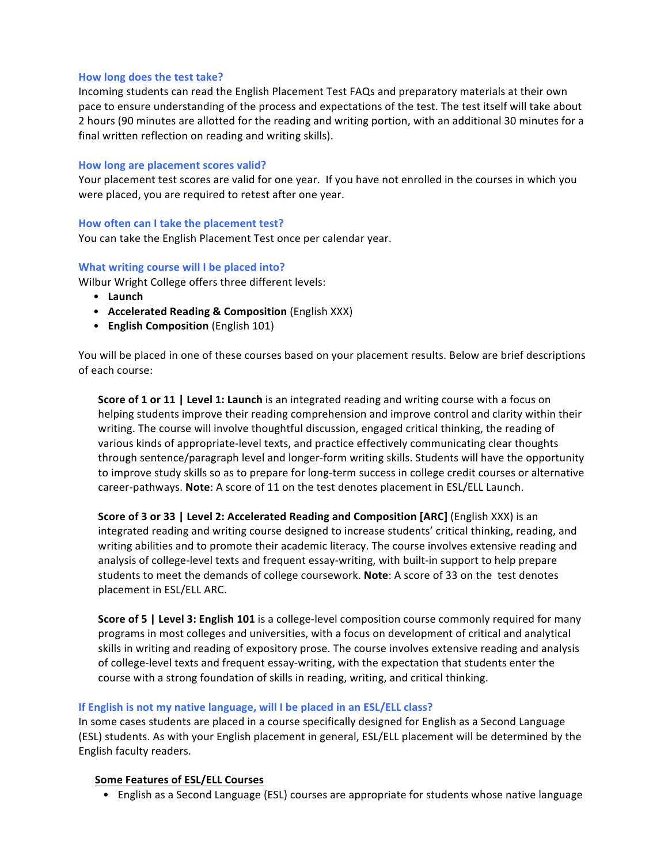## How long does the test take?

Incoming students can read the English Placement Test FAQs and preparatory materials at their own pace to ensure understanding of the process and expectations of the test. The test itself will take about 2 hours (90 minutes are allotted for the reading and writing portion, with an additional 30 minutes for a final written reflection on reading and writing skills).

### How long are placement scores valid?

Your placement test scores are valid for one year. If you have not enrolled in the courses in which you were placed, you are required to retest after one year.

#### How often can I take the placement test?

You can take the English Placement Test once per calendar year.

#### **What writing course will I be placed into?**

Wilbur Wright College offers three different levels:

- **Launch**
- Accelerated Reading & Composition (English XXX)
- **English Composition** (English 101)

You will be placed in one of these courses based on your placement results. Below are brief descriptions of each course:

**Score of 1 or 11 | Level 1: Launch** is an integrated reading and writing course with a focus on helping students improve their reading comprehension and improve control and clarity within their writing. The course will involve thoughtful discussion, engaged critical thinking, the reading of various kinds of appropriate-level texts, and practice effectively communicating clear thoughts through sentence/paragraph level and longer-form writing skills. Students will have the opportunity to improve study skills so as to prepare for long-term success in college credit courses or alternative career-pathways. Note: A score of 11 on the test denotes placement in ESL/ELL Launch.

**Score of 3 or 33 | Level 2: Accelerated Reading and Composition [ARC]** (English XXX) is an integrated reading and writing course designed to increase students' critical thinking, reading, and writing abilities and to promote their academic literacy. The course involves extensive reading and analysis of college-level texts and frequent essay-writing, with built-in support to help prepare students to meet the demands of college coursework. Note: A score of 33 on the test denotes placement in ESL/ELL ARC.

**Score of 5 | Level 3: English 101** is a college-level composition course commonly required for many programs in most colleges and universities, with a focus on development of critical and analytical skills in writing and reading of expository prose. The course involves extensive reading and analysis of college-level texts and frequent essay-writing, with the expectation that students enter the course with a strong foundation of skills in reading, writing, and critical thinking.

## **If English is not my native language, will I be placed in an ESL/ELL class?**

In some cases students are placed in a course specifically designed for English as a Second Language (ESL) students. As with your English placement in general, ESL/ELL placement will be determined by the English faculty readers.

#### **Some Features of ESL/ELL Courses**

• English as a Second Language (ESL) courses are appropriate for students whose native language